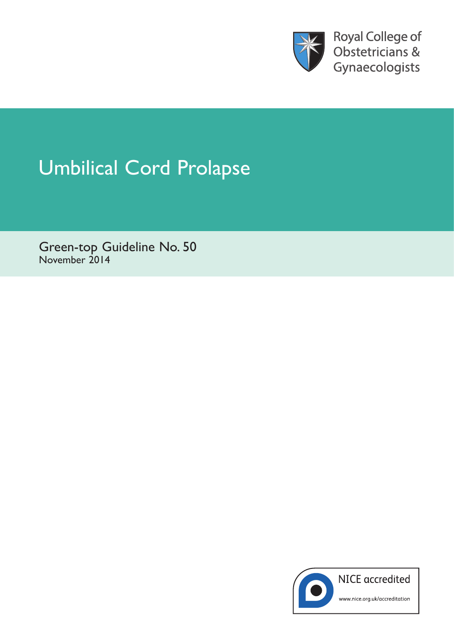

**Royal College of** Obstetricians & Gynaecologists

# Umbilical Cord Prolapse

Green-top Guideline No. 50 November 2014

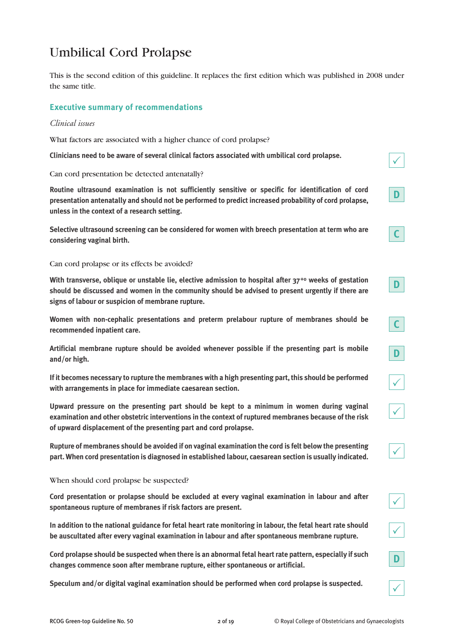# Umbilical Cord Prolapse

This is the second edition of this guideline. It replaces the first edition which was published in 2008 under the same title.

## **Executive summary of recommendations**

#### *Clinical issues*

What factors are associated with a higher chance of cord prolapse?

**Clinicians need to be aware of several clinical factors associated with umbilical cord prolapse.** 

Can cord presentation be detected antenatally?

**Routine ultrasound examination is not sufficiently sensitive or specific for identification of cord presentation antenatally and should not be performed to predict increased probability of cord prolapse, unless in the context of a research setting.**

**Selective ultrasound screening can be considered for women with breech presentation at term who are considering vaginal birth.**

#### Can cord prolapse or its effects be avoided?

**With transverse, oblique or unstable lie, elective admission to hospital after 37+0 weeks of gestation should be discussed and women in the community should be advised to present urgently if there are signs of labour or suspicion of membrane rupture.**

**Women with non-cephalic presentations and preterm prelabour rupture of membranes should be recommended inpatient care.**

**Artificial membrane rupture should be avoided whenever possible if the presenting part is mobile and/or high.**

**If it becomes necessary to rupture the membranes with a high presenting part, this should be performed with arrangements in place for immediate caesarean section.**

**Upward pressure on the presenting part should be kept to a minimum in women during vaginal examination and other obstetric interventions in the context of ruptured membranes because of the risk of upward displacement of the presenting part and cord prolapse.**

**Rupture of membranes should be avoided if on vaginal examination the cord is felt below the presenting part. When cord presentation is diagnosed in established labour, caesarean section is usually indicated.**

#### When should cord prolapse be suspected?

**Cord presentation or prolapse should be excluded at every vaginal examination in labour and after spontaneous rupture of membranes if risk factors are present.**

**In addition to the national guidance for fetal heart rate monitoring in labour, the fetal heart rate should be auscultated after every vaginal examination in labour and after spontaneous membrane rupture.**

**Cord prolapse should be suspected when there is an abnormal fetal heart rate pattern, especially if such changes commence soon after membrane rupture, either spontaneous or artificial.**

**Speculum and/or digital vaginal examination should be performed when cord prolapse is suspected.**

**C**

 $\checkmark$ 

**D**

| ______ |  |
|--------|--|
|        |  |
|        |  |
|        |  |
|        |  |
|        |  |
|        |  |
|        |  |

 $\checkmark$ 

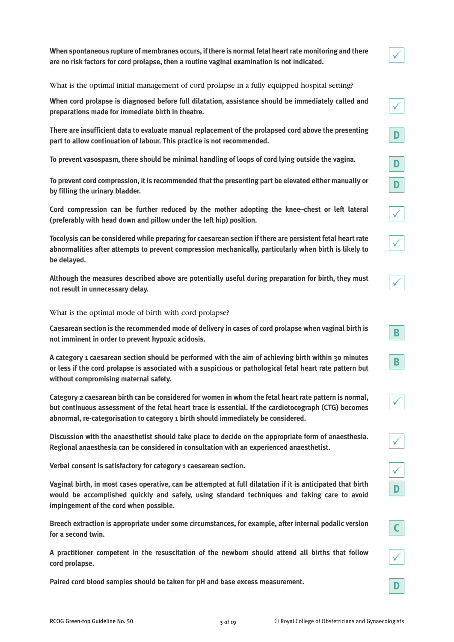**When spontaneous rupture of membranes occurs, if there is normal fetal heart rate monitoring and there are no risk factors for cord prolapse, then a routine vaginal examination is not indicated.**

What is the optimal initial management of cord prolapse in a fully equipped hospital setting?

**When cord prolapse is diagnosed before full dilatation, assistance should be immediately called and preparations made for immediate birth in theatre.**

**There are insufficient data to evaluate manual replacement of the prolapsed cord above the presenting part to allow continuation of labour. This practice is not recommended.**

**To prevent vasospasm, there should be minimal handling of loops of cord lying outside the vagina.**

**To prevent cord compression, it is recommended that the presenting part be elevated either manually or by filling the urinary bladder.**

**Cord compression can be further reduced by the mother adopting the knee–chest or left lateral (preferably with head down and pillow under the left hip) position.**

**Tocolysis can be considered while preparing for caesarean section if there are persistent fetal heart rate abnormalities after attempts to prevent compression mechanically, particularly when birth is likely to be delayed.**

**Although the measures described above are potentially useful during preparation for birth, they must not result in unnecessary delay.**

What is the optimal mode of birth with cord prolapse?

**Caesarean section is the recommended mode of delivery in cases of cord prolapse when vaginal birth is not imminent in order to prevent hypoxic acidosis.**

**A category 1 caesarean section should be performed with the aim of achieving birth within 30 minutes or less if the cord prolapse is associated with a suspicious or pathological fetal heart rate pattern but without compromising maternal safety.**

**Category 2 caesarean birth can be considered for women in whom the fetal heart rate pattern is normal, but continuous assessment of the fetal heart trace is essential. If the cardiotocograph (CTG) becomes abnormal, re-categorisation to category 1 birth should immediately be considered.**

**Discussion with the anaesthetist should take place to decide on the appropriate form of anaesthesia. Regional anaesthesia can be considered in consultation with an experienced anaesthetist.**

**Verbal consent is satisfactory for category 1 caesarean section.**

**Vaginal birth, in most cases operative, can be attempted at full dilatation if it is anticipated that birth would be accomplished quickly and safely, using standard techniques and taking care to avoid impingement of the cord when possible.**

**Breech extraction is appropriate under some circumstances, for example, after internal podalic version for a second twin.**

**A practitioner competent in the resuscitation of the newborn should attend all births that follow cord prolapse.**

**Paired cord blood samples should be taken for pH and base excess measurement.**

| $\overline{\mathbf{D}}$<br>I                         |
|------------------------------------------------------|
| $\boxed{\mathbf{D}}$                                 |
| $\boxed{\mathsf{D}}$                                 |
| I<br>$\overline{\phantom{a}}$                        |
| $\lceil$<br>I                                        |
| $\overline{\phantom{a}}$<br>$\overline{\phantom{0}}$ |
|                                                      |
| $\overline{\phantom{a}}$<br>$\overline{\mathsf{B}}$  |
| $\overline{\mathbf{B}}$                              |

 $\checkmark$ 

| ╱ |  |
|---|--|
|   |  |



**D**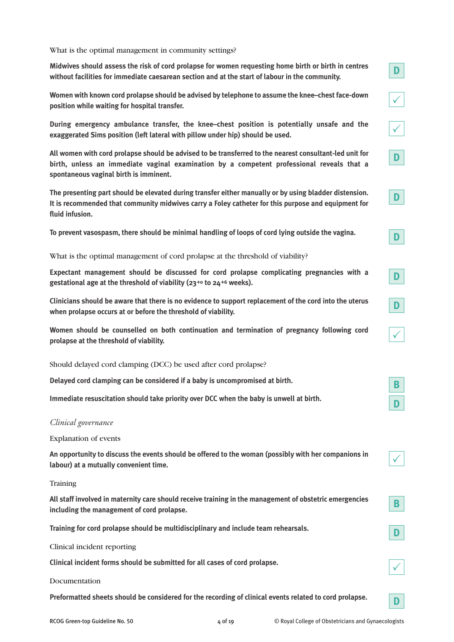What is the optimal management in community settings?

**Midwives should assess the risk of cord prolapse for women requesting home birth or birth in centres without facilities for immediate caesarean section and at the start of labour in the community.**

**Women with known cord prolapse should be advised by telephone to assume the knee–chest face-down position while waiting for hospital transfer.**

**During emergency ambulance transfer, the knee–chest position is potentially unsafe and the exaggerated Sims position (left lateral with pillow under hip) should be used.**

**All women with cord prolapse should be advised to be transferred to the nearest consultant-led unit for birth, unless an immediate vaginal examination by a competent professional reveals that a spontaneous vaginal birth is imminent.**

**The presenting part should be elevated during transfer either manually or by using bladder distension. It is recommended that community midwives carry a Foley catheter for this purpose and equipment for fluid infusion.**

**To prevent vasospasm, there should be minimal handling of loops of cord lying outside the vagina.**

What is the optimal management of cord prolapse at the threshold of viability?

**Expectant management should be discussed for cord prolapse complicating pregnancies with a gestational age at the threshold of viability (23+0 to 24+6 weeks).**

**Clinicians should be aware that there is no evidence to support replacement of the cord into the uterus when prolapse occurs at or before the threshold of viability.**

**Women should be counselled on both continuation and termination of pregnancy following cord prolapse at the threshold of viability.**

Should delayed cord clamping (DCC) be used after cord prolapse?

**Delayed cord clamping can be considered if a baby is uncompromised at birth.**

**Immediate resuscitation should take priority over DCC when the baby is unwell at birth.**

# *Clinical governance*

Explanation of events

**An opportunity to discuss the events should be offered to the woman (possibly with her companions in labour) at a mutually convenient time.**

**Training** 

**All staff involved in maternity care should receive training in the management of obstetric emergencies including the management of cord prolapse.**

**Training for cord prolapse should be multidisciplinary and include team rehearsals.**

Clinical incident reporting

**Clinical incident forms should be submitted for all cases of cord prolapse.**

#### Documentation

**Preformatted sheets should be considered for the recording of clinical events related to cord prolapse.**

 $\checkmark$ 

**D**

**D**

**B**

 $\checkmark$ 

**D**

**B**

 $\checkmark$ 

**D**

**D**

**D**

**D**

 $\checkmark$ 

 $\checkmark$ 

**D**

**D**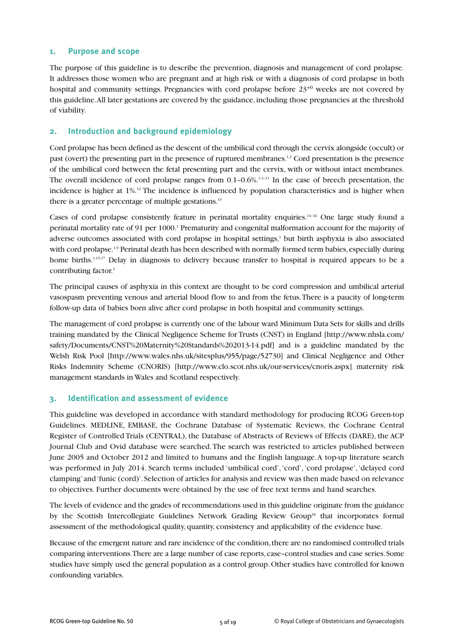#### **1. Purpose and scope**

The purpose of this guideline is to describe the prevention, diagnosis and management of cord prolapse. It addresses those women who are pregnant and at high risk or with a diagnosis of cord prolapse in both hospital and community settings. Pregnancies with cord prolapse before  $23^{+0}$  weeks are not covered by this guideline. All later gestations are covered by the guidance, including those pregnancies at the threshold of viability.

## **2. Introduction and background epidemiology**

Cord prolapse has been defined as the descent of the umbilical cord through the cervix alongside (occult) or past (overt) the presenting part in the presence of ruptured membranes.1,2 Cord presentation is the presence of the umbilical cord between the fetal presenting part and the cervix, with or without intact membranes. The overall incidence of cord prolapse ranges from  $0.1$ – $0.6\%$ <sup>1,3–11</sup> In the case of breech presentation, the incidence is higher at 1%.12 The incidence is influenced by population characteristics and is higher when there is a greater percentage of multiple gestations.<sup>13</sup>

Cases of cord prolapse consistently feature in perinatal mortality enquiries.<sup>14–16</sup> One large study found a perinatal mortality rate of 91 per 1000.1 Prematurity and congenital malformation account for the majority of adverse outcomes associated with cord prolapse in hospital settings,<sup>1</sup> but birth asphyxia is also associated with cord prolapse.<sup>1,9</sup> Perinatal death has been described with normally formed term babies, especially during home births.<sup>1,15,17</sup> Delay in diagnosis to delivery because transfer to hospital is required appears to be a contributing factor.<sup>1</sup>

The principal causes of asphyxia in this context are thought to be cord compression and umbilical arterial vasospasm preventing venous and arterial blood flow to and from the fetus. There is a paucity of long-term follow-up data of babies born alive after cord prolapse in both hospital and community settings.

The management of cord prolapse is currently one of the labour ward Minimum Data Sets for skills and drills training mandated by the Clinical Negligence Scheme for Trusts (CNST) in England [http://www.nhsla.com/ safety/Documents/CNST%20Maternity%20Standards%202013-14.pdf] and is a guideline mandated by the Welsh Risk Pool [http://www.wales.nhs.uk/sitesplus/955/page/52730] and Clinical Negligence and Other Risks Indemnity Scheme (CNORIS) [http://www.clo.scot.nhs.uk/our-services/cnoris.aspx] maternity risk management standards in Wales and Scotland respectively.

#### **3. Identification and assessment of evidence**

This guideline was developed in accordance with standard methodology for producing RCOG Green-top Guidelines. MEDLINE, EMBASE, the Cochrane Database of Systematic Reviews, the Cochrane Central Register of Controlled Trials (CENTRAL), the Database of Abstracts of Reviews of Effects (DARE), the ACP Journal Club and Ovid database were searched. The search was restricted to articles published between June 2005 and October 2012 and limited to humans and the English language. A top-up literature search was performed in July 2014. Search terms included 'umbilical cord', 'cord', 'cord prolapse', 'delayed cord clamping' and 'funic (cord)'. Selection of articles for analysis and review was then made based on relevance to objectives. Further documents were obtained by the use of free text terms and hand searches.

The levels of evidence and the grades of recommendations used in this guideline originate from the guidance by the Scottish Intercollegiate Guidelines Network Grading Review Group<sup>18</sup> that incorporates formal assessment of the methodological quality, quantity, consistency and applicability of the evidence base.

Because of the emergent nature and rare incidence of the condition, there are no randomised controlled trials comparing interventions. There are a large number of case reports, case–control studies and case series. Some studies have simply used the general population as a control group. Other studies have controlled for known confounding variables.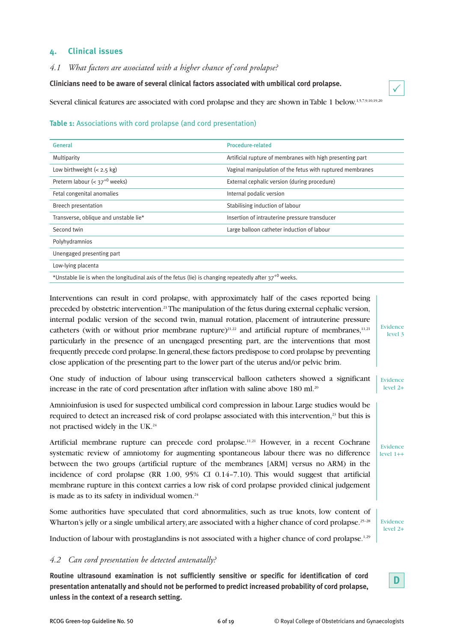# **4. Clinical issues**

*4.1 What factors are associated with a higher chance of cord prolapse?*

**Clinicians need to be aware of several clinical factors associated with umbilical cord prolapse.**

Several clinical features are associated with cord prolapse and they are shown in Table 1 below.<sup>1,5,7,9,10,19,20</sup>

#### **Table 1:** Associations with cord prolapse (and cord presentation)

| General                                                                                                      | <b>Procedure-related</b>                                  |
|--------------------------------------------------------------------------------------------------------------|-----------------------------------------------------------|
| Multiparity                                                                                                  | Artificial rupture of membranes with high presenting part |
| Low birthweight $(< 2.5 \text{ kg})$                                                                         | Vaginal manipulation of the fetus with ruptured membranes |
| Preterm labour $(< 37^{+0}$ weeks)                                                                           | External cephalic version (during procedure)              |
| Fetal congenital anomalies                                                                                   | Internal podalic version                                  |
| <b>Breech presentation</b>                                                                                   | Stabilising induction of labour                           |
| Transverse, oblique and unstable lie*                                                                        | Insertion of intrauterine pressure transducer             |
| Second twin                                                                                                  | Large balloon catheter induction of labour                |
| Polyhydramnios                                                                                               |                                                           |
| Unengaged presenting part                                                                                    |                                                           |
| Low-lying placenta                                                                                           |                                                           |
| *Unstable lie is when the longitudinal axis of the fetus (lie) is changing repeatedly after $37^{+0}$ weeks. |                                                           |

Interventions can result in cord prolapse, with approximately half of the cases reported being preceded by obstetric intervention.<sup>21</sup>The manipulation of the fetus during external cephalic version, internal podalic version of the second twin, manual rotation, placement of intrauterine pressure catheters (with or without prior membrane rupture)<sup>21,22</sup> and artificial rupture of membranes,<sup>11,21</sup> particularly in the presence of an unengaged presenting part, are the interventions that most frequently precede cord prolapse. In general, these factors predispose to cord prolapse by preventing close application of the presenting part to the lower part of the uterus and/or pelvic brim. Evidence

One study of induction of labour using transcervical balloon catheters showed a significant increase in the rate of cord presentation after inflation with saline above  $180$  ml.<sup>20</sup> Evidence level 2+

Amnioinfusion is used for suspected umbilical cord compression in labour. Large studies would be required to detect an increased risk of cord prolapse associated with this intervention,<sup>23</sup> but this is not practised widely in the UK.24

Artificial membrane rupture can precede cord prolapse.<sup>11,21</sup> However, in a recent Cochrane systematic review of amniotomy for augmenting spontaneous labour there was no difference between the two groups (artificial rupture of the membranes [ARM] versus no ARM) in the incidence of cord prolapse (RR 1.00, 95% CI 0.14–7.10). This would suggest that artificial membrane rupture in this context carries a low risk of cord prolapse provided clinical judgement is made as to its safety in individual women.<sup>24</sup>

Some authorities have speculated that cord abnormalities, such as true knots, low content of Wharton's jelly or a single umbilical artery, are associated with a higher chance of cord prolapse.<sup>25–28</sup>

Induction of labour with prostaglandins is not associated with a higher chance of cord prolapse.<sup>1,29</sup>

#### *4.2 Can cord presentation be detected antenatally?*

**Routine ultrasound examination is not sufficiently sensitive or specific for identification of cord presentation antenatally and should not be performed to predict increased probability of cord prolapse, unless in the context of a research setting.**



level 3

 $\checkmark$ 

Evidence level 1++

Evidence level 2+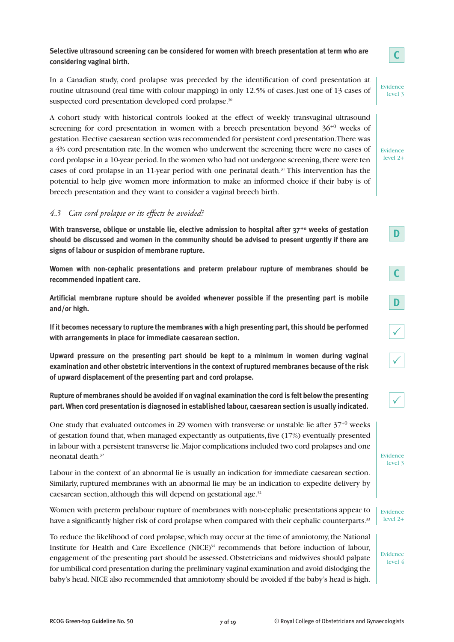In a Canadian study, cord prolapse was preceded by the identification of cord presentation at routine ultrasound (real time with colour mapping) in only 12.5% of cases. Just one of 13 cases of suspected cord presentation developed cord prolapse.<sup>30</sup>

A cohort study with historical controls looked at the effect of weekly transvaginal ultrasound screening for cord presentation in women with a breech presentation beyond  $36^{+0}$  weeks of gestation. Elective caesarean section was recommended for persistent cord presentation. There was a 4% cord presentation rate. In the women who underwent the screening there were no cases of cord prolapse in a 10-year period. In the women who had not undergone screening, there were ten cases of cord prolapse in an 11-year period with one perinatal death.<sup>31</sup> This intervention has the potential to help give women more information to make an informed choice if their baby is of breech presentation and they want to consider a vaginal breech birth.

# *4.3 Can cord prolapse or its effects be avoided?*

**With transverse, oblique or unstable lie, elective admission to hospital after 37+0 weeks of gestation should be discussed and women in the community should be advised to present urgently if there are signs of labour or suspicion of membrane rupture.**

**Women with non-cephalic presentations and preterm prelabour rupture of membranes should be recommended inpatient care.**

**Artificial membrane rupture should be avoided whenever possible if the presenting part is mobile and/or high.**

**If it becomes necessary to rupture the membranes with a high presenting part, this should be performed with arrangements in place for immediate caesarean section.**

**Upward pressure on the presenting part should be kept to a minimum in women during vaginal examination and other obstetric interventions in the context of ruptured membranes because of the risk of upward displacement of the presenting part and cord prolapse.**

**Rupture of membranes should be avoided if on vaginal examination the cord is felt below the presenting part. When cord presentation is diagnosed in established labour, caesarean section is usually indicated.**

One study that evaluated outcomes in 29 women with transverse or unstable lie after  $37^{+0}$  weeks of gestation found that, when managed expectantly as outpatients, five (17%) eventually presented in labour with a persistent transverse lie. Major complications included two cord prolapses and one neonatal death<sup>32</sup>

Labour in the context of an abnormal lie is usually an indication for immediate caesarean section. Similarly, ruptured membranes with an abnormal lie may be an indication to expedite delivery by caesarean section, although this will depend on gestational age.32

Women with preterm prelabour rupture of membranes with non-cephalic presentations appear to have a significantly higher risk of cord prolapse when compared with their cephalic counterparts.<sup>33</sup>

To reduce the likelihood of cord prolapse, which may occur at the time of amniotomy, the National Institute for Health and Care Excellence (NICE)<sup>34</sup> recommends that before induction of labour, engagement of the presenting part should be assessed. Obstetricians and midwives should palpate for umbilical cord presentation during the preliminary vaginal examination and avoid dislodging the baby's head. NICE also recommended that amniotomy should be avoided if the baby's head is high.

Evidence  $level 2+$ 

 $\checkmark$ 

Evidence level 3

 $\checkmark$ 

**D**

**C**

**D**

**C**

Evidence level 3

Evidence level 2+

Evidence level 4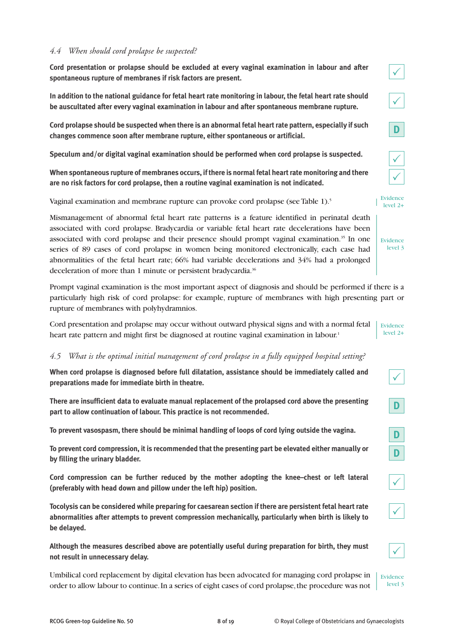#### *4.4 When should cord prolapse be suspected?*

**Cord presentation or prolapse should be excluded at every vaginal examination in labour and after spontaneous rupture of membranes if risk factors are present.**

**In addition to the national guidance for fetal heart rate monitoring in labour, the fetal heart rate should be auscultated after every vaginal examination in labour and after spontaneous membrane rupture.**

**Cord prolapse should be suspected when there is an abnormal fetal heart rate pattern, especially if such changes commence soon after membrane rupture, either spontaneous or artificial.**

**Speculum and/or digital vaginal examination should be performed when cord prolapse is suspected.**

**When spontaneous rupture of membranes occurs, if there is normal fetal heart rate monitoring and there are no risk factors for cord prolapse, then a routine vaginal examination is not indicated.**

Vaginal examination and membrane rupture can provoke cord prolapse (see Table 1).<sup>5</sup>

Mismanagement of abnormal fetal heart rate patterns is a feature identified in perinatal death associated with cord prolapse. Bradycardia or variable fetal heart rate decelerations have been associated with cord prolapse and their presence should prompt vaginal examination.<sup>35</sup> In one series of 89 cases of cord prolapse in women being monitored electronically, each case had abnormalities of the fetal heart rate; 66% had variable decelerations and 34% had a prolonged deceleration of more than 1 minute or persistent bradycardia.<sup>36</sup>

Prompt vaginal examination is the most important aspect of diagnosis and should be performed if there is a particularly high risk of cord prolapse: for example, rupture of membranes with high presenting part or rupture of membranes with polyhydramnios.

Cord presentation and prolapse may occur without outward physical signs and with a normal fetal heart rate pattern and might first be diagnosed at routine vaginal examination in labour.<sup>1</sup> Evidence level 2+

#### *4.5 What is the optimal initial management of cord prolapse in a fully equipped hospital setting?*

**When cord prolapse is diagnosed before full dilatation, assistance should be immediately called and preparations made for immediate birth in theatre.**

**There are insufficient data to evaluate manual replacement of the prolapsed cord above the presenting part to allow continuation of labour. This practice is not recommended.**

**To prevent vasospasm, there should be minimal handling of loops of cord lying outside the vagina.**

**To prevent cord compression, it is recommended that the presenting part be elevated either manually or by filling the urinary bladder.**

**Cord compression can be further reduced by the mother adopting the knee–chest or left lateral (preferably with head down and pillow under the left hip) position.**

**Tocolysis can be considered while preparing for caesarean section if there are persistent fetal heart rate abnormalities after attempts to prevent compression mechanically, particularly when birth is likely to be delayed.**

**Although the measures described above are potentially useful during preparation for birth, they must not result in unnecessary delay.**

Umbilical cord replacement by digital elevation has been advocated for managing cord prolapse in order to allow labour to continue. In a series of eight cases of cord prolapse, the procedure was not Evidence level 3





| e      |
|--------|
| ł<br>۳ |

| ł<br>٧ |  |  |
|--------|--|--|
|--------|--|--|

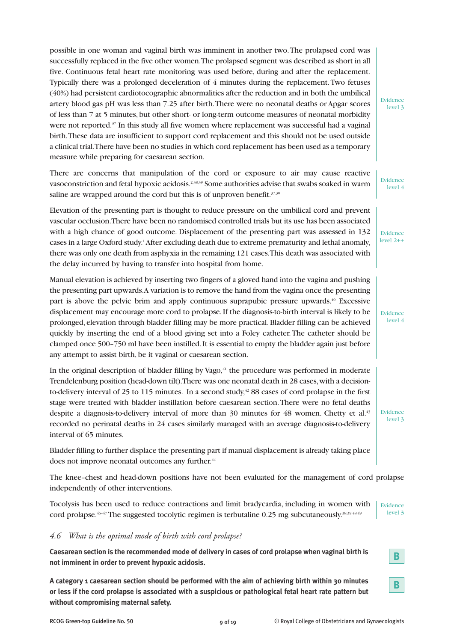possible in one woman and vaginal birth was imminent in another two. The prolapsed cord was successfully replaced in the five other women. The prolapsed segment was described as short in all five. Continuous fetal heart rate monitoring was used before, during and after the replacement. Typically there was a prolonged deceleration of 4 minutes during the replacement. Two fetuses (40%) had persistent cardiotocographic abnormalities after the reduction and in both the umbilical artery blood gas pH was less than 7.25 after birth. There were no neonatal deaths or Apgar scores of less than 7 at 5 minutes, but other short- or long-term outcome measures of neonatal morbidity were not reported.<sup>37</sup> In this study all five women where replacement was successful had a vaginal birth. These data are insufficient to support cord replacement and this should not be used outside a clinical trial. There have been no studies in which cord replacement has been used as a temporary measure while preparing for caesarean section.

There are concerns that manipulation of the cord or exposure to air may cause reactive vasoconstriction and fetal hypoxic acidosis.2,38,39 Some authorities advise that swabs soaked in warm saline are wrapped around the cord but this is of unproven benefit.<sup>37,38</sup> Evidence

Elevation of the presenting part is thought to reduce pressure on the umbilical cord and prevent vascular occlusion. There have been no randomised controlled trials but its use has been associated with a high chance of good outcome. Displacement of the presenting part was assessed in 132 cases in a large Oxford study.1After excluding death due to extreme prematurity and lethal anomaly, there was only one death from asphyxia in the remaining 121 cases. This death was associated with the delay incurred by having to transfer into hospital from home.

Manual elevation is achieved by inserting two fingers of a gloved hand into the vagina and pushing the presenting part upwards. A variation is to remove the hand from the vagina once the presenting part is above the pelvic brim and apply continuous suprapubic pressure upwards.40 Excessive displacement may encourage more cord to prolapse. If the diagnosis-to-birth interval is likely to be prolonged, elevation through bladder filling may be more practical. Bladder filling can be achieved quickly by inserting the end of a blood giving set into a Foley catheter. The catheter should be clamped once 500–750 ml have been instilled. It is essential to empty the bladder again just before any attempt to assist birth, be it vaginal or caesarean section.

In the original description of bladder filling by Vago,<sup>41</sup> the procedure was performed in moderate Trendelenburg position (head-down tilt). There was one neonatal death in 28 cases, with a decisionto-delivery interval of 25 to 115 minutes. In a second study,<sup>42</sup> 88 cases of cord prolapse in the first stage were treated with bladder instillation before caesarean section. There were no fetal deaths despite a diagnosis-to-delivery interval of more than 30 minutes for 48 women. Chetty et al.<sup>43</sup> recorded no perinatal deaths in 24 cases similarly managed with an average diagnosis-to-delivery interval of 65 minutes.

Bladder filling to further displace the presenting part if manual displacement is already taking place does not improve neonatal outcomes any further.<sup>44</sup>

The knee–chest and head-down positions have not been evaluated for the management of cord prolapse independently of other interventions.

Tocolysis has been used to reduce contractions and limit bradycardia, including in women with cord prolapse.<sup>45–47</sup> The suggested tocolytic regimen is terbutaline 0.25 mg subcutaneously.<sup>38,39,48,49</sup> Evidence level 3

#### *4.6 What is the optimal mode of birth with cord prolapse?*

**Caesarean section is the recommended mode of delivery in cases of cord prolapse when vaginal birth is not imminent in order to prevent hypoxic acidosis.**

**A category 1 caesarean section should be performed with the aim of achieving birth within 30 minutes or less if the cord prolapse is associated with a suspicious or pathological fetal heart rate pattern but without compromising maternal safety.**

Evidence level 3

Evidence level 2++

level 4

Evidence level 4

Evidence level 3

**B**

**B**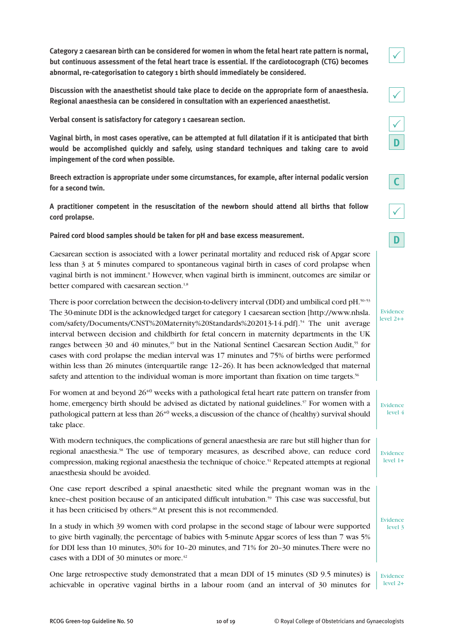**Category 2 caesarean birth can be considered for women in whom the fetal heart rate pattern is normal, but continuous assessment of the fetal heart trace is essential. If the cardiotocograph (CTG) becomes abnormal, re-categorisation to category 1 birth should immediately be considered.**

**Discussion with the anaesthetist should take place to decide on the appropriate form of anaesthesia. Regional anaesthesia can be considered in consultation with an experienced anaesthetist.**

**Verbal consent is satisfactory for category 1 caesarean section.**

**Vaginal birth, in most cases operative, can be attempted at full dilatation if it is anticipated that birth would be accomplished quickly and safely, using standard techniques and taking care to avoid impingement of the cord when possible.**

**Breech extraction is appropriate under some circumstances, for example, after internal podalic version for a second twin.**

**A practitioner competent in the resuscitation of the newborn should attend all births that follow cord prolapse.**

**Paired cord blood samples should be taken for pH and base excess measurement.**

Caesarean section is associated with a lower perinatal mortality and reduced risk of Apgar score less than 3 at 5 minutes compared to spontaneous vaginal birth in cases of cord prolapse when vaginal birth is not imminent.<sup>9</sup> However, when vaginal birth is imminent, outcomes are similar or better compared with caesarean section.<sup>1,8</sup>

There is poor correlation between the decision-to-delivery interval (DDI) and umbilical cord pH.<sup>50–53</sup> The 30-minute DDI is the acknowledged target for category 1 caesarean section [http://www.nhsla. com/safety/Documents/CNST%20Maternity%20Standards%202013-14.pdf].54 The unit average interval between decision and childbirth for fetal concern in maternity departments in the UK ranges between 30 and 40 minutes,<sup>49</sup> but in the National Sentinel Caesarean Section Audit,<sup>55</sup> for cases with cord prolapse the median interval was 17 minutes and 75% of births were performed within less than 26 minutes (interquartile range 12–26). It has been acknowledged that maternal safety and attention to the individual woman is more important than fixation on time targets.<sup>56</sup>

For women at and beyond  $26^{+0}$  weeks with a pathological fetal heart rate pattern on transfer from home, emergency birth should be advised as dictated by national guidelines.<sup>57</sup> For women with a pathological pattern at less than 26+0 weeks, a discussion of the chance of (healthy) survival should take place.

With modern techniques, the complications of general anaesthesia are rare but still higher than for regional anaesthesia.58 The use of temporary measures, as described above, can reduce cord compression, making regional anaesthesia the technique of choice.<sup>51</sup> Repeated attempts at regional anaesthesia should be avoided.

One case report described a spinal anaesthetic sited while the pregnant woman was in the knee-chest position because of an anticipated difficult intubation.<sup>59</sup> This case was successful, but it has been criticised by others.<sup>60</sup> At present this is not recommended.

In a study in which 39 women with cord prolapse in the second stage of labour were supported to give birth vaginally, the percentage of babies with 5-minute Apgar scores of less than 7 was 5% for DDI less than 10 minutes, 30% for 10–20 minutes, and 71% for 20–30 minutes. There were no cases with a DDI of 30 minutes or more.<sup>42</sup>

One large retrospective study demonstrated that a mean DDI of 15 minutes (SD 9.5 minutes) is achievable in operative vaginal births in a labour room (and an interval of 30 minutes for Evidence level 2+

 $\checkmark$ 

 $\checkmark$ 



|--|

 $\checkmark$ 

| .viden<br>-F<br>œ |  |
|-------------------|--|
| el 2<br>۳         |  |

Evidence level 4

Evidence level 1+

Evidence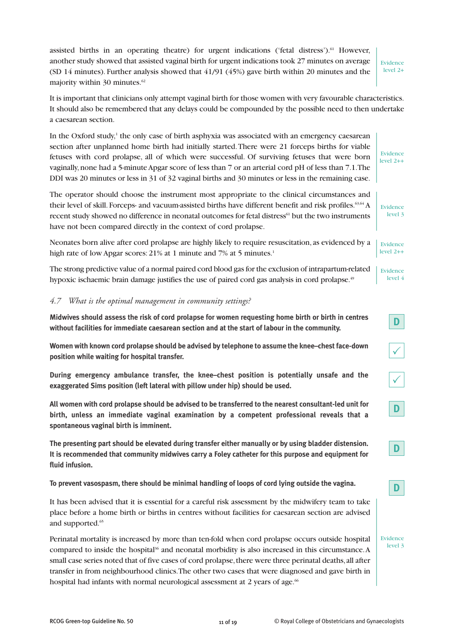assisted births in an operating theatre) for urgent indications ('fetal distress'). $61$  However, another study showed that assisted vaginal birth for urgent indications took 27 minutes on average (SD 14 minutes). Further analysis showed that 41/91 (45%) gave birth within 20 minutes and the majority within 30 minutes.<sup>62</sup>

Evidence level 2+

Evidence level 2++

**D**

**D**

**D**

Evidence level 3

 $\sqrt{}$ 

 $\checkmark$ 

**D**

It is important that clinicians only attempt vaginal birth for those women with very favourable characteristics. It should also be remembered that any delays could be compounded by the possible need to then undertake a caesarean section.

In the Oxford study, $\frac{1}{1}$  the only case of birth asphyxia was associated with an emergency caesarean section after unplanned home birth had initially started. There were 21 forceps births for viable fetuses with cord prolapse, all of which were successful. Of surviving fetuses that were born vaginally, none had a 5-minute Apgar score of less than 7 or an arterial cord pH of less than 7.1. The DDI was 20 minutes or less in 31 of 32 vaginal births and 30 minutes or less in the remaining case.

The operator should choose the instrument most appropriate to the clinical circumstances and their level of skill. Forceps- and vacuum-assisted births have different benefit and risk profiles.<sup>63,64</sup> A recent study showed no difference in neonatal outcomes for fetal distress<sup>61</sup> but the two instruments have not been compared directly in the context of cord prolapse. Evidence level 3

Neonates born alive after cord prolapse are highly likely to require resuscitation, as evidenced by a high rate of low Apgar scores: 21% at 1 minute and 7% at 5 minutes.<sup>1</sup> Evidence level 2++

The strong predictive value of a normal paired cord blood gas for the exclusion of intrapartum-related hypoxic ischaemic brain damage justifies the use of paired cord gas analysis in cord prolapse.<sup>49</sup> Evidence level 4

#### *4.7 What is the optimal management in community settings?*

**Midwives should assess the risk of cord prolapse for women requesting home birth or birth in centres without facilities for immediate caesarean section and at the start of labour in the community.**

**Women with known cord prolapse should be advised by telephone to assume the knee–chest face-down position while waiting for hospital transfer.**

**During emergency ambulance transfer, the knee–chest position is potentially unsafe and the exaggerated Sims position (left lateral with pillow under hip) should be used.**

**All women with cord prolapse should be advised to be transferred to the nearest consultant-led unit for birth, unless an immediate vaginal examination by a competent professional reveals that a spontaneous vaginal birth is imminent.**

**The presenting part should be elevated during transfer either manually or by using bladder distension. It is recommended that community midwives carry a Foley catheter for this purpose and equipment for fluid infusion.**

**To prevent vasospasm, there should be minimal handling of loops of cord lying outside the vagina.**

It has been advised that it is essential for a careful risk assessment by the midwifery team to take place before a home birth or births in centres without facilities for caesarean section are advised and supported.<sup>65</sup>

Perinatal mortality is increased by more than ten-fold when cord prolapse occurs outside hospital compared to inside the hospital<sup>36</sup> and neonatal morbidity is also increased in this circumstance. A small case series noted that of five cases of cord prolapse, there were three perinatal deaths, all after transfer in from neighbourhood clinics. The other two cases that were diagnosed and gave birth in hospital had infants with normal neurological assessment at 2 years of age.<sup>66</sup>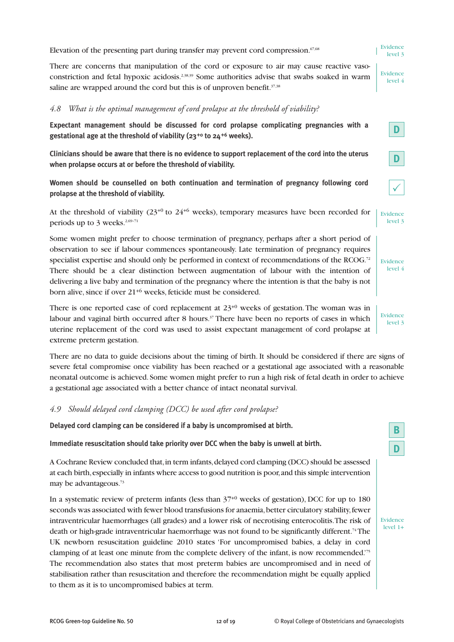Elevation of the presenting part during transfer may prevent cord compression.<sup>67,68</sup>

There are concerns that manipulation of the cord or exposure to air may cause reactive vasoconstriction and fetal hypoxic acidosis.2,38,39 Some authorities advise that swabs soaked in warm saline are wrapped around the cord but this is of unproven benefit.<sup>37,38</sup>

#### *4.8 What is the optimal management of cord prolapse at the threshold of viability?*

**Expectant management should be discussed for cord prolapse complicating pregnancies with a gestational age at the threshold of viability (23+0 to 24+6 weeks).**

**Clinicians should be aware that there is no evidence to support replacement of the cord into the uterus when prolapse occurs at or before the threshold of viability.**

**Women should be counselled on both continuation and termination of pregnancy following cord prolapse at the threshold of viability.**

At the threshold of viability  $(23^{+0}$  to  $24^{+6}$  weeks), temporary measures have been recorded for periods up to  $3$  weeks.<sup>2,69-71</sup> Evidence level 3

Some women might prefer to choose termination of pregnancy, perhaps after a short period of observation to see if labour commences spontaneously. Late termination of pregnancy requires specialist expertise and should only be performed in context of recommendations of the RCOG.<sup>72</sup> There should be a clear distinction between augmentation of labour with the intention of delivering a live baby and termination of the pregnancy where the intention is that the baby is not born alive, since if over 21+6 weeks, feticide must be considered.

There is one reported case of cord replacement at  $23^{+0}$  weeks of gestation. The woman was in labour and vaginal birth occurred after 8 hours. $37$  There have been no reports of cases in which uterine replacement of the cord was used to assist expectant management of cord prolapse at extreme preterm gestation.

There are no data to guide decisions about the timing of birth. It should be considered if there are signs of severe fetal compromise once viability has been reached or a gestational age associated with a reasonable neonatal outcome is achieved. Some women might prefer to run a high risk of fetal death in order to achieve a gestational age associated with a better chance of intact neonatal survival.

#### *4.9 Should delayed cord clamping (DCC) be used after cord prolapse?*

**Delayed cord clamping can be considered if a baby is uncompromised at birth.**

**Immediate resuscitation should take priority over DCC when the baby is unwell at birth.**

A Cochrane Review concluded that, in term infants, delayed cord clamping (DCC) should be assessed at each birth, especially in infants where access to good nutrition is poor, and this simple intervention may be advantageous.<sup>73</sup>

In a systematic review of preterm infants (less than  $37^{+0}$  weeks of gestation), DCC for up to 180 seconds was associated with fewer blood transfusions for anaemia, better circulatory stability, fewer intraventricular haemorrhages (all grades) and a lower risk of necrotising enterocolitis. The risk of death or high-grade intraventricular haemorrhage was not found to be significantly different.<sup>74</sup> The UK newborn resuscitation guideline 2010 states 'For uncompromised babies, a delay in cord clamping of at least one minute from the complete delivery of the infant, is now recommended.'75 The recommendation also states that most preterm babies are uncompromised and in need of stabilisation rather than resuscitation and therefore the recommendation might be equally applied to them as it is to uncompromised babies at term.

**D**

**B**

Evidence level 4

Evidence level 3

 $\checkmark$ 

**D**

Evidence level 3

Evidence level 4

**D**

Evidence  $level 1+$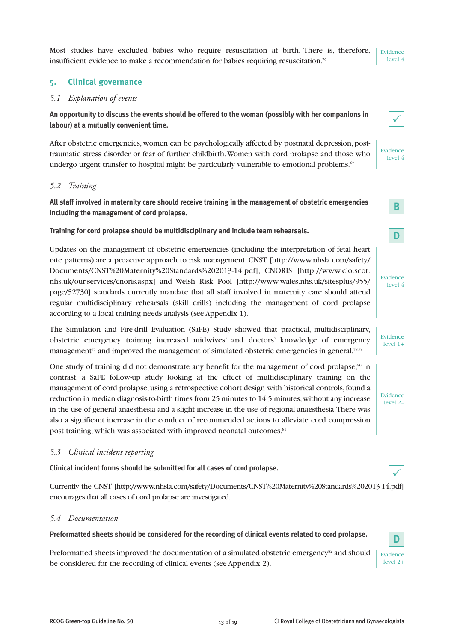Most studies have excluded babies who require resuscitation at birth. There is, therefore, insufficient evidence to make a recommendation for babies requiring resuscitation.76

# **5. Clinical governance**

#### *5.1 Explanation of events*

**An opportunity to discuss the events should be offered to the woman (possibly with her companions in labour) at a mutually convenient time.**

After obstetric emergencies, women can be psychologically affected by postnatal depression, posttraumatic stress disorder or fear of further childbirth. Women with cord prolapse and those who undergo urgent transfer to hospital might be particularly vulnerable to emotional problems.<sup>67</sup>

#### *5.2 Training*

**All staff involved in maternity care should receive training in the management of obstetric emergencies including the management of cord prolapse.**

**Training for cord prolapse should be multidisciplinary and include team rehearsals.**

Updates on the management of obstetric emergencies (including the interpretation of fetal heart rate patterns) are a proactive approach to risk management. CNST [http://www.nhsla.com/safety/ Documents/CNST%20Maternity%20Standards%202013-14.pdf], CNORIS [http://www.clo.scot. nhs.uk/our-services/cnoris.aspx] and Welsh Risk Pool [http://www.wales.nhs.uk/sitesplus/955/ page/52730] standards currently mandate that all staff involved in maternity care should attend regular multidisciplinary rehearsals (skill drills) including the management of cord prolapse according to a local training needs analysis (see Appendix 1).

The Simulation and Fire-drill Evaluation (SaFE) Study showed that practical, multidisciplinary, obstetric emergency training increased midwives' and doctors' knowledge of emergency management<sup>77</sup> and improved the management of simulated obstetric emergencies in general.<sup>78,79</sup>

One study of training did not demonstrate any benefit for the management of cord prolapse;<sup>80</sup> in contrast, a SaFE follow-up study looking at the effect of multidisciplinary training on the management of cord prolapse, using a retrospective cohort design with historical controls, found a reduction in median diagnosis-to-birth times from 25 minutes to 14.5 minutes, without any increase in the use of general anaesthesia and a slight increase in the use of regional anaesthesia. There was also a significant increase in the conduct of recommended actions to alleviate cord compression post training, which was associated with improved neonatal outcomes.<sup>81</sup>

#### *5.3 Clinical incident reporting*

**Clinical incident forms should be submitted for all cases of cord prolapse.**

Currently the CNST [http://www.nhsla.com/safety/Documents/CNST%20Maternity%20Standards%202013-14.pdf] encourages that all cases of cord prolapse are investigated.

#### *5.4 Documentation*

**Preformatted sheets should be considered for the recording of clinical events related to cord prolapse.**

Preformatted sheets improved the documentation of a simulated obstetric emergency<sup>82</sup> and should be considered for the recording of clinical events (see Appendix 2).





| Evidence |  |
|----------|--|
| vel      |  |







Evidence level 1+

Evidence level 2–



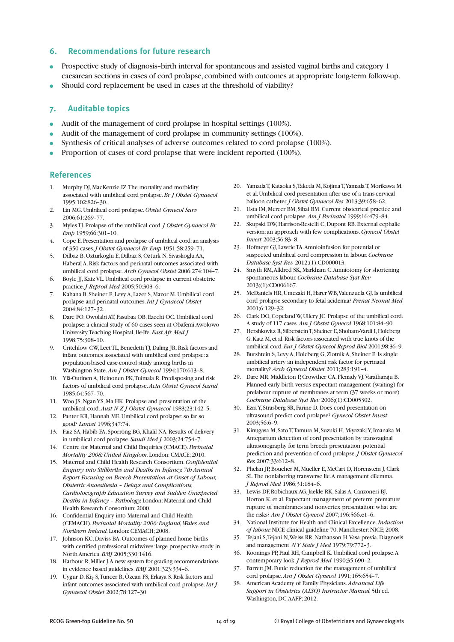#### **6. Recommendations for future research**

- Prospective study of diagnosis–birth interval for spontaneous and assisted vaginal births and category 1 caesarean sections in cases of cord prolapse, combined with outcomes at appropriate long-term follow-up.
- Should cord replacement be used in cases at the threshold of viability?

#### **7. Auditable topics**

- Audit of the management of cord prolapse in hospital settings (100%).
- Audit of the management of cord prolapse in community settings (100%).
- Synthesis of critical analyses of adverse outcomes related to cord prolapse (100%).
- Proportion of cases of cord prolapse that were incident reported (100%).

#### **References**

- 1. Murphy DJ, MacKenzie IZ. The mortality and morbidity associated with umbilical cord prolapse. *Br J Obstet Gynaecol* 1995;102:826–30.
- 2. Lin MG. Umbilical cord prolapse. *Obstet Gynecol Surv* 2006;61:269–77.
- 3. Myles TJ. Prolapse of the umbilical cord. *J Obstet Gynaecol Br Emp* 1959;66:301–10.
- 4. Cope E. Presentation and prolapse of umbilical cord; an analysis of 350 cases. *J Obstet Gynaecol Br Emp* 1951;58:259–71.
- 5. Dilbaz B, Ozturkoglu E, Dilbaz S, Ozturk N, Sivaslioglu AA, Haberal A. Risk factors and perinatal outcomes associated with umbilical cord prolapse. *Arch Gynecol Obstet* 2006;274:104–7.
- 6. Boyle JJ, Katz VL. Umbilical cord prolapse in current obstetric practice. *J Reprod Med* 2005;50:303–6.
- 7. Kahana B, Sheiner E, Levy A, Lazer S, Mazor M. Umbilical cord prolapse and perinatal outcomes. *Int J Gynaecol Obstet* 2004;84:127–32.
- 8. Dare FO, Owolabi AT, Fasubaa OB, Ezechi OC. Umbilical cord prolapse: a clinical study of 60 cases seen at Obafemi Awolowo University Teaching Hospital, Ile-Ife. *East Afr Med J* 1998;75:308–10.
- 9. Critchlow CW, Leet TL, Benedetti TJ, Daling JR. Risk factors and infant outcomes associated with umbilical cord prolapse: a population-based case-control study among births in Washington State. *Am J Obstet Gynecol* 1994;170:613–8.
- 10. Ylä-Outinen A, Heinonen PK, Tuimala R. Predisposing and risk factors of umbilical cord prolapse. *Acta Obstet Gynecol Scand* 1985;64:567–70.
- 11. Woo JS, Ngan YS, Ma HK. Prolapse and presentation of the umbilical cord. *Aust N Z J Obstet Gynaecol* 1983;23:142–5.
- 12. Panter KR, Hannah ME. Umbilical cord prolapse: so far so good? *Lancet* 1996;347:74.
- 13. Faiz SA, Habib FA, Sporrong BG, Khalil NA. Results of delivery in umbilical cord prolapse. *Saudi Med J* 2003;24:754–7.
- 14. Centre for Maternal and Child Enquiries (CMACE). *Perinatal Mortality 2008: United Kingdom.* London: CMACE; 2010.
- 15. Maternal and Child Health Research Consortium. *Confidential Enquiry into Stillbirths and Deaths in Infancy. 7th Annual Report Focusing on Breech Presentation at Onset of Labour, Obstetric Anaesthesia – Delays and Complications, Cardiotocograph Education Survey and Sudden Unexpected Deaths in Infancy – Pathology.* London: Maternal and Child Health Research Consortium; 2000.
- 16. Confidential Enquiry into Maternal and Child Health (CEMACH). *Perinatal Mortality 2006: England, Wales and Northern Ireland.* London: CEMACH; 2008.
- 17. Johnson KC, Daviss BA. Outcomes of planned home births with certified professional midwives: large prospective study in North America. *BMJ* 2005;330:1416.
- 18. Harbour R, Miller J.A new system for grading recommendations in evidence based guidelines. *BMJ* 2001;323:334–6.
- 19. Uygur D, Kiş S, Tuncer R, Özcan FS, Erkaya S. Risk factors and infant outcomes associated with umbilical cord prolapse. *Int J Gynaecol Obstet* 2002;78:127–30.
- 20. Yamada T, Kataoka S, Takeda M, Kojima T, Yamada T, Morikawa M, et al. Umbilical cord presentation after use of a trans-cervical balloon catheter. *J Obstet Gynaecol Res* 2013;39:658–62.
- 21. Usta IM, Mercer BM, Sibai BM. Current obstetrical practice and umbilical cord prolapse. *Am J Perinatol* 1999;16:479–84.
- 22. Skupski DW, Harrison-Restelli C, Dupont RB. External cephalic version: an approach with few complications. *Gynecol Obstet Invest* 2003;56:83–8.
- 23. Hofmeyr GJ, Lawrie TA. Amnioinfusion for potential or suspected umbilical cord compression in labour. *Cochrane Database Syst Rev* 2012;(1):CD000013.
- 24. Smyth RM, Alldred SK, Markham C. Amniotomy for shortening spontaneous labour. *Cochrane Database Syst Rev* 2013;(1):CD006167.
- 25. McDaniels HR, Umezaki H, Harer WB, Valenzuela GJ. Is umbilical cord prolapse secondary to fetal acidemia? *Prenat Neonat Med* 2001;6:129–32.
- 26. Clark DO, Copeland W, Ullery JC. Prolapse of the umbilical cord. A study of 117 cases. *Am J Obstet Gynecol* 1968;101:84–90.
- 27. Hershkovitz R, Silberstein T, Sheiner E, Shoham-Vardi I, Holcberg G, Katz M, et al. Risk factors associated with true knots of the umbilical cord. *Eur J Obstet Gynecol Reprod Biol* 2001;98:36–9.
- 28. Burshtein S, Levy A, Holcberg G, Zlotnik A, Sheiner E. Is single umbilical artery an independent risk factor for perinatal mortality? *Arch Gynecol Obstet* 2011;283:191–4.
- 29. Dare MR, Middleton P, Crowther CA, Flenady VJ, Varatharaju B. Planned early birth versus expectant management (waiting) for prelabour rupture of membranes at term (37 weeks or more). *Cochrane Database Syst Rev* 2006;(1):CD005302.
- 30. Ezra Y, Strasberg SR, Farine D. Does cord presentation on ultrasound predict cord prolapse? *Gynecol Obstet Invest* 2003;56:6–9.
- 31. Kinugasa M, Sato T, Tamura M, Suzuki H, Miyazaki Y, Imanaka M. Antepartum detection of cord presentation by transvaginal ultrasonography for term breech presentation: potential prediction and prevention of cord prolapse. *J Obstet Gynaecol Res* 2007;33:612–8.
- 32. Phelan JP, Boucher M, Mueller E, McCart D, Horenstein J, Clark SL. The nonlaboring transverse lie. A management dilemma. *J Reprod Med* 1986;31:184–6.
- 33. Lewis DF, Robichaux AG, Jaekle RK, Salas A, Canzoneri BJ, Horton K, et al. Expectant management of preterm premature rupture of membranes and nonvertex presentation: what are the risks? *Am J Obstet Gynecol* 2007;196:566.e1–6.
- 34. National Institute for Health and Clinical Excellence. *Induction of labour.* NICE clinical guideline 70. Manchester: NICE; 2008.
- 35. Tejani S, Tejani N, Weiss RR, Nathanson H. Vasa previa. Diagnosis and management. *N Y State J Med* 1979;79:772–3.
- 36. Koonings PP, Paul RH, Campbell K. Umbilical cord prolapse. A contemporary look. *J Reprod Med* 1990;35:690–2.
- 37. Barrett JM. Funic reduction for the management of umbilical cord prolapse. *Am J Obstet Gynecol* 1991;165:654–7.
- 38. American Academy of Family Physicians. *Advanced Life Support in Obstetrics (ALSO) Instructor Manual.* 5th ed. Washington, DC: AAFP; 2012.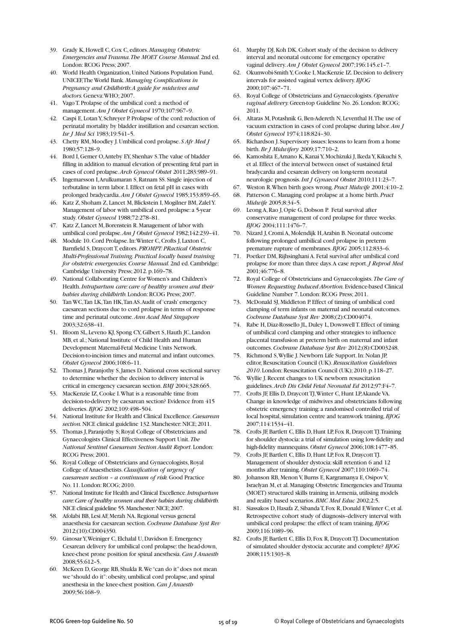- 39. Grady K, Howell C, Cox C, editors. *Managing Obstetric Emergencies and Trauma. The MOET Course Manual.* 2nd ed. London: RCOG Press; 2007.
- 40. World Health Organization, United Nations Population Fund, UNICEF, The World Bank. *Managing Complications in Pregnancy and Childbirth: A guide for midwives and doctors.* Geneva: WHO; 2007.
- 41. Vago T. Prolapse of the umbilical cord: a method of management. *Am J Obstet Gynecol* 1970;107:967–9.
- 42. Caspi E, Lotan Y, Schreyer P. Prolapse of the cord: reduction of perinatal mortality by bladder instillation and cesarean section. *Isr J Med Sci* 1983;19:541–5.
- 43. Chetty RM, Moodley J. Umbilical cord prolapse. *S Afr Med J* 1980;57:128–9.
- 44. Bord I, Gemer O, Anteby EY, Shenhav S. The value of bladder filling in addition to manual elevation of presenting fetal part in cases of cord prolapse. *Arch Gynecol Obstet* 2011;283:989–91.
- 45. Ingemarsson I, Arulkumaran S, Ratnam SS. Single injection of terbutaline in term labor. I. Effect on fetal pH in cases with prolonged bradycardia. *Am J Obstet Gynecol* 1985;153:859–65.
- 46. Katz Z, Shoham Z, Lancet M, Blickstein I, Mogilner BM, Zalel Y. Management of labor with umbilical cord prolapse: a 5-year study. *Obstet Gynecol* 1988;72:278–81.
- 47. Katz Z, Lancet M, Borenstein R. Management of labor with umbilical cord prolapse. *Am J Obstet Gynecol* 1982;142:239–41.
- 48. Module 10. Cord Prolapse. In: Winter C, Crofts J, Laxton C, Barnfield S, Draycott T, editors. *PROMPT: PRactical Obstetric Multi-Professional Training. Practical locally based training for obstetric emergencies. Course Manual.* 2nd ed. Cambridge: Cambridge University Press; 2012. p.169–78.
- 49. National Collaborating Centre for Women's and Children's Health. *Intrapartum care: care of healthy women and their babies during childbirth.* London: RCOG Press; 2007.
- 50. Tan WC, Tan LK, Tan HK, Tan AS. Audit of 'crash' emergency caesarean sections due to cord prolapse in terms of response time and perinatal outcome. *Ann Acad Med Singapore* 2003;32:638–41.
- 51. Bloom SL, Leveno KJ, Spong CY, Gilbert S, Hauth JC, Landon MB, et al.; National Institute of Child Health and Human Development Maternal-Fetal Medicine Units Network. Decision-to-incision times and maternal and infant outcomes. *Obstet Gynecol* 2006;108:6–11.
- 52. Thomas J, Paranjothy S, James D. National cross sectional survey to determine whether the decision to delivery interval is critical in emergency caesarean section. *BMJ* 2004;328:665.
- 53. MacKenzie IZ, Cooke I. What is a reasonable time from decision-to-delivery by caesarean section? Evidence from 415 deliveries. *BJOG* 2002;109:498–504.
- 54. National Institute for Health and Clinical Excellence. *Caesarean section.* NICE clinical guideline 132. Manchester: NICE; 2011.
- 55. Thomas J, Paranjothy S; Royal College of Obstetricians and Gynaecologists Clinical Effectiveness Support Unit. *The National Sentinel Caesarean Section Audit Report*. London: RCOG Press; 2001.
- 56. Royal College of Obstetricians and Gynaecologists, Royal College of Anaesthetists. *Classification of urgency of caesarean section – a continuum of risk.* Good Practice No. 11. London: RCOG; 2010.
- 57. National Institute for Health and Clinical Excellence. *Intrapartum care: Care of healthy women and their babies during childbirth.* NICE clinical guideline 55. Manchester: NICE; 2007.
- 58. Afolabi BB, Lesi AF, Merah NA. Regional versus general anaesthesia for caesarean section. *Cochrane Database Syst Rev* 2012;(10):CD004350.
- 59. Ginosar Y, Weiniger C, Elchalal U, Davidson E. Emergency Cesarean delivery for umbilical cord prolapse: the head-down, knee-chest prone position for spinal anesthesia. *Can J Anaesth* 2008;55:612–5.
- 60. McKeen D, George RB, Shukla R. We "can do it" does not mean we "should do it": obesity, umbilical cord prolapse, and spinal anesthesia in the knee-chest position. *Can J Anaesth* 2009;56:168–9.
- 61. Murphy DJ, Koh DK. Cohort study of the decision to delivery interval and neonatal outcome for emergency operative vaginal delivery. *Am J Obstet Gynecol* 2007;196:145.e1–7.
- 62. Okunwobi-Smith Y, Cooke I, MacKenzie IZ. Decision to delivery intervals for assisted vaginal vertex delivery. *BJOG* 2000;107:467–71.
- 63. Royal College of Obstetricians and Gynaecologists. *Operative vaginal delivery.* Green-top Guideline No. 26. London: RCOG; 2011.
- 64. Altaras M, Potashnik G, Ben-Adereth N, Leventhal H. The use of vacuum extraction in cases of cord prolapse during labor. *Am J Obstet Gynecol* 1974;118:824–30.
- 65. Richardson J. Supervisory issues: lessons to learn from a home birth. *Br J Midwifery* 2009;17:710–2.
- 66. Kamoshita E, Amano K, Kanai Y, Mochizuki J, Ikeda Y, Kikuchi S, et al. Effect of the interval between onset of sustained fetal bradycardia and cesarean delivery on long-term neonatal neurologic prognosis. *Int J Gynaecol Obstet* 2010;111:23–7.
- 67. Weston R. When birth goes wrong. *Pract Midwife* 2001;4:10–2.
- 68. Patterson C. Managing cord prolapse at a home birth. *Pract Midwife* 2005;8:34–5.
- 69. Leong A, Rao J, Opie G, Dobson P. Fetal survival after conservative management of cord prolapse for three weeks. *BJOG* 2004;111:1476–7.
- 70. Nizard J, Cromi A, Molendijk H, Arabin B. Neonatal outcome following prolonged umbilical cord prolapse in preterm premature rupture of membranes. *BJOG* 2005;112:833–6.
- 71. Poetker DM, Rijhsinghani A. Fetal survival after umbilical cord prolapse for more than three days. A case report. *J Reprod Med* 2001;46:776–8.
- 72. Royal College of Obstetricians and Gynaecologists. *The Care of Women Requesting Induced Abortion.* Evidence-based Clinical Guideline Number 7. London: RCOG Press; 2011.
- 73. McDonald SJ, Middleton P. Effect of timing of umbilical cord clamping of term infants on maternal and neonatal outcomes. *Cochrane Database Syst Rev* 2008;(2):CD004074.
- 74. Rabe H, Diaz-Rossello JL, Duley L, Dowswell T. Effect of timing of umbilical cord clamping and other strategies to influence placental transfusion at preterm birth on maternal and infant outcomes. *Cochrane Database Syst Rev* 2012;(8):CD003248.
- 75. Richmond S, Wyllie J. Newborn Life Support. In: Nolan JP, editor, Resuscitation Council (UK). *Resuscitation Guidelines 2010*. London: Resuscitation Council (UK); 2010. p.118–27.
- 76. Wyllie J. Recent changes to UK newborn resuscitation guidelines. *Arch Dis Child Fetal Neonatal Ed* 2012;97:F4–7.
- 77. Crofts JF, Ellis D, Draycott TJ, Winter C, Hunt LP, Akande VA. Change in knowledge of midwives and obstetricians following obstetric emergency training: a randomised controlled trial of local hospital, simulation centre and teamwork training. *BJOG* 2007;114:1534–41.
- 78. Crofts JF, Bartlett C, Ellis D, Hunt LP, Fox R, Draycott TJ. Training for shoulder dystocia: a trial of simulation using low-fidelity and high-fidelity mannequins. *Obstet Gynecol* 2006;108:1477–85.
- 79. Crofts JF, Bartlett C, Ellis D, Hunt LP, Fox R, Draycott TJ. Management of shoulder dystocia: skill retention 6 and 12 months after training. *Obstet Gynecol* 2007;110:1069–74.
- 80. Johanson RB, Menon V, Burns E, Kargramanya E, Osipov V, Israelyan M, et al. Managing Obstetric Emergencies and Trauma (MOET) structured skills training in Armenia, utilising models and reality based scenarios. *BMC Med Educ* 2002;2:5.
- 81. Siassakos D, Hasafa Z, Sibanda T, Fox R, Donald F, Winter C, et al. Retrospective cohort study of diagnosis–delivery interval with umbilical cord prolapse: the effect of team training. *BJOG* 2009;116:1089–96.
- 82. Crofts JF, Bartlett C, Ellis D, Fox R, Draycott TJ. Documentation of simulated shoulder dystocia: accurate and complete? *BJOG* 2008;115:1303–8.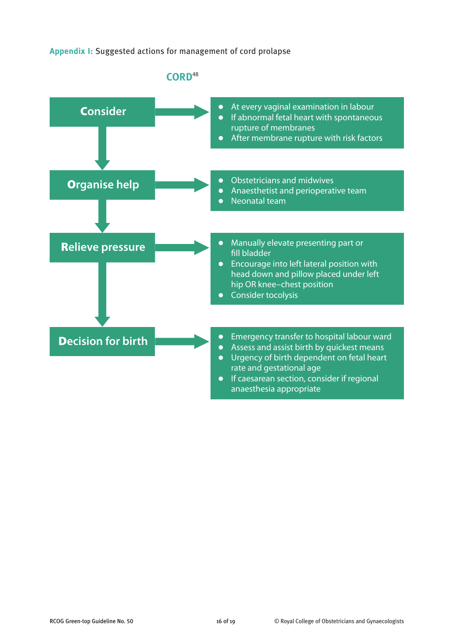# **Appendix I:** Suggested actions for management of cord prolapse

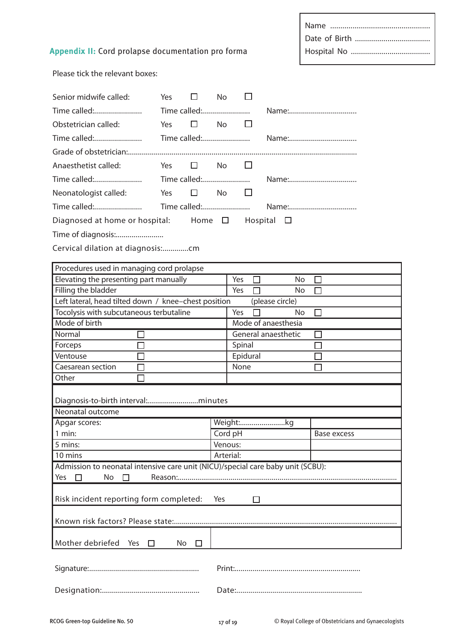|--|

# **Appendix II:** Cord prolapse documentation pro forma

Please tick the relevant boxes:

| Senior midwife called:                                                          | <b>Yes</b> | □            | <b>No</b>    |                     |                     |                    |  |
|---------------------------------------------------------------------------------|------------|--------------|--------------|---------------------|---------------------|--------------------|--|
| Time called:                                                                    |            | Time called: |              |                     |                     | Name:              |  |
| Obstetrician called:                                                            | Yes        | □            | No           |                     |                     |                    |  |
| Time called:                                                                    |            | Time called: |              |                     |                     |                    |  |
|                                                                                 |            |              |              |                     |                     |                    |  |
| Anaesthetist called:                                                            | Yes        |              | $\square$ No | $\Box$              |                     |                    |  |
|                                                                                 |            |              |              |                     |                     |                    |  |
| Time called:                                                                    |            |              |              | Time called:        |                     |                    |  |
| Neonatologist called:                                                           | Yes        | □            | <b>No</b>    | $\mathbf{L}$        |                     |                    |  |
| Time called:                                                                    |            |              |              | Time called:        |                     |                    |  |
| Diagnosed at home or hospital: Home $\Box$<br>Hospital $\Box$                   |            |              |              |                     |                     |                    |  |
| Time of diagnosis:                                                              |            |              |              |                     |                     |                    |  |
| Cervical dilation at diagnosis:cm                                               |            |              |              |                     |                     |                    |  |
|                                                                                 |            |              |              |                     |                     |                    |  |
| Procedures used in managing cord prolapse                                       |            |              |              |                     |                     |                    |  |
| Elevating the presenting part manually                                          |            |              |              | Yes                 | No                  | ΙI                 |  |
| Filling the bladder                                                             |            |              |              | Yes                 | No                  | ΙI                 |  |
| Left lateral, head tilted down / knee-chest position<br>(please circle)         |            |              |              |                     |                     |                    |  |
| Tocolysis with subcutaneous terbutaline                                         |            |              |              | Yes                 | No                  | $\perp$            |  |
| Mode of birth                                                                   |            |              |              | Mode of anaesthesia |                     |                    |  |
| Normal                                                                          |            |              |              |                     | General anaesthetic |                    |  |
| Forceps                                                                         |            |              |              | Spinal              |                     |                    |  |
| Ventouse                                                                        |            |              |              | Epidural            |                     |                    |  |
| Caesarean section                                                               |            |              |              | None                |                     |                    |  |
| Other                                                                           |            |              |              |                     |                     |                    |  |
|                                                                                 |            |              |              |                     |                     |                    |  |
| Neonatal outcome                                                                |            |              |              |                     |                     |                    |  |
| Apgar scores:                                                                   |            |              |              |                     | Weight:kg           |                    |  |
| $1$ min:                                                                        |            |              |              | Cord pH             |                     | <b>Base excess</b> |  |
| 5 mins:                                                                         |            |              |              | Venous:             |                     |                    |  |
| 10 mins                                                                         |            |              |              | Arterial:           |                     |                    |  |
| Admission to neonatal intensive care unit (NICU)/special care baby unit (SCBU): |            |              |              |                     |                     |                    |  |
| No<br>Yes<br>П<br>П                                                             |            |              |              |                     |                     |                    |  |
|                                                                                 |            |              |              |                     |                     |                    |  |
| Risk incident reporting form completed:<br>Yes<br>ΙI                            |            |              |              |                     |                     |                    |  |
|                                                                                 |            |              |              |                     |                     |                    |  |
|                                                                                 |            |              |              |                     |                     |                    |  |
| Mother debriefed<br>Yes                                                         | П          | No<br>П      |              |                     |                     |                    |  |
|                                                                                 |            |              |              |                     |                     |                    |  |
|                                                                                 |            |              |              |                     |                     |                    |  |
|                                                                                 |            |              |              |                     |                     |                    |  |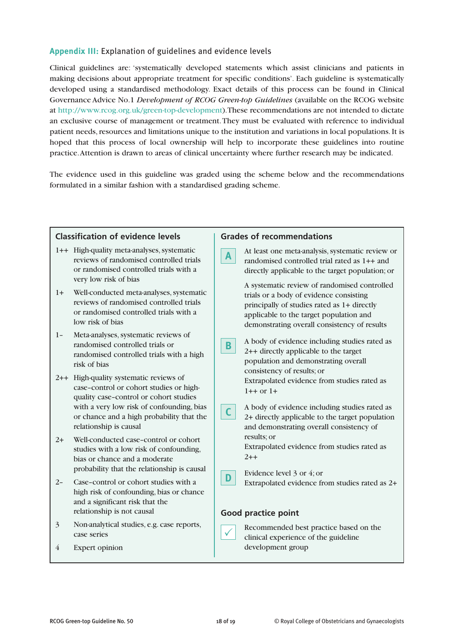# **Appendix III:** Explanation of guidelines and evidence levels

Clinical guidelines are: 'systematically developed statements which assist clinicians and patients in making decisions about appropriate treatment for specific conditions'. Each guideline is systematically developed using a standardised methodology. Exact details of this process can be found in Clinical Governance Advice No.1 *Development of RCOG Green-top Guidelines* (available on the RCOG website at http://www.rcog.org.uk/green-top-development). These recommendations are not intended to dictate an exclusive course of management or treatment. They must be evaluated with reference to individual patient needs, resources and limitations unique to the institution and variations in local populations. It is hoped that this process of local ownership will help to incorporate these guidelines into routine practice. Attention is drawn to areas of clinical uncertainty where further research may be indicated.

The evidence used in this guideline was graded using the scheme below and the recommendations formulated in a similar fashion with a standardised grading scheme.